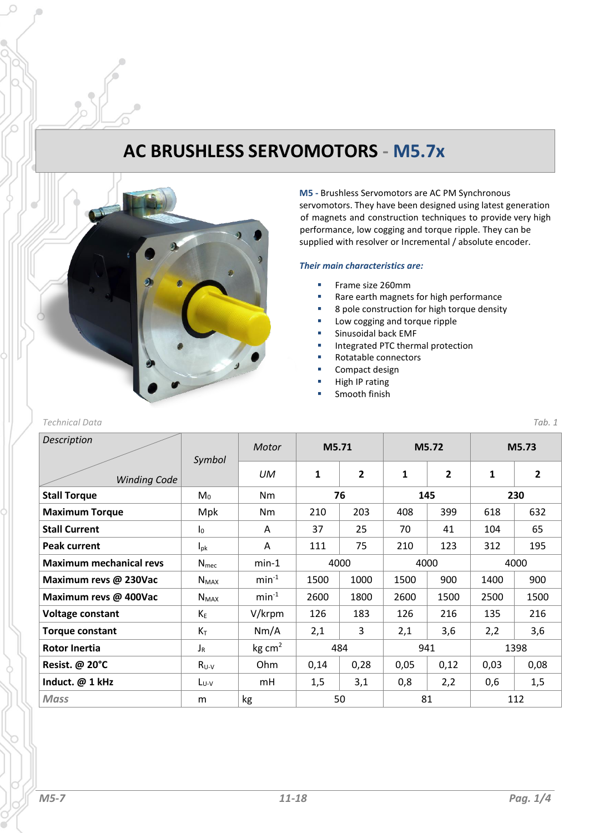# **AC BRUSHLESS SERVOMOTORS - M5.7x**



**M5 -** Brushless Servomotors are AC PM Synchronous servomotors. They have been designed using latest generation of magnets and construction techniques to provide very high performance, low cogging and torque ripple. They can be supplied with resolver or Incremental / absolute encoder.

### *Their main characteristics are:*

- Frame size 260mm
- Rare earth magnets for high performance
- 8 pole construction for high torque density
- Low cogging and torque ripple
- Sinusoidal back EMF
- **■** Integrated PTC thermal protection
- Rotatable connectors
- Compact design
- High IP rating
- Smooth finish

### *Technical Data Tab. 1*

| <b>Description</b>             | Symbol           | Motor        | M5.71 |      | M5.72 |                | M5.73 |                         |
|--------------------------------|------------------|--------------|-------|------|-------|----------------|-------|-------------------------|
| <b>Winding Code</b>            |                  | UM           | 1     | 2    | 1     | $\overline{2}$ | 1     | $\overline{\mathbf{c}}$ |
| <b>Stall Torque</b>            | $M_0$            | <b>Nm</b>    | 76    |      | 145   |                | 230   |                         |
| <b>Maximum Torque</b>          | Mpk              | <b>Nm</b>    | 210   | 203  | 408   | 399            | 618   | 632                     |
| <b>Stall Current</b>           | $I_0$            | A            | 37    | 25   | 70    | 41             | 104   | 65                      |
| <b>Peak current</b>            | $I_{\text{D}k}$  | Α            | 111   | 75   | 210   | 123            | 312   | 195                     |
| <b>Maximum mechanical revs</b> | N <sub>mec</sub> | $min-1$      | 4000  |      | 4000  |                | 4000  |                         |
| Maximum revs @ 230Vac          | $N_{MAX}$        | $min-1$      | 1500  | 1000 | 1500  | 900            | 1400  | 900                     |
| Maximum revs @ 400Vac          | $N_{MAX}$        | $min-1$      | 2600  | 1800 | 2600  | 1500           | 2500  | 1500                    |
| <b>Voltage constant</b>        | $K_E$            | V/krpm       | 126   | 183  | 126   | 216            | 135   | 216                     |
| <b>Torque constant</b>         | $K_T$            | Nm/A         | 2,1   | 3    | 2,1   | 3,6            | 2,2   | 3,6                     |
| <b>Rotor Inertia</b>           | $J_R$            | $kg \, cm^2$ | 484   |      | 941   |                | 1398  |                         |
| Resist. @ 20°C                 | $R_{U-V}$        | Ohm          | 0,14  | 0,28 | 0,05  | 0,12           | 0,03  | 0,08                    |
| Induct. @ 1 kHz                | $L_{U-V}$        | mH           | 1,5   | 3,1  | 0,8   | 2,2            | 0,6   | 1,5                     |
| <b>Mass</b>                    | m                | kg           |       | 50   | 81    |                |       | 112                     |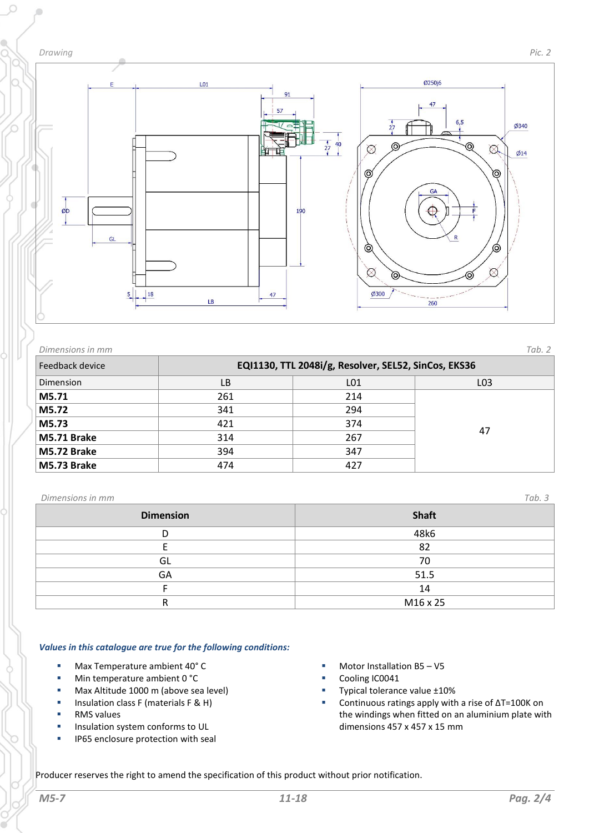

 $\circ$ 



| Dimensions in mm |                                                      |     | Tab. 2          |  |  |
|------------------|------------------------------------------------------|-----|-----------------|--|--|
| Feedback device  | EQI1130, TTL 2048i/g, Resolver, SEL52, SinCos, EKS36 |     |                 |  |  |
| Dimension        | LВ                                                   | L01 | LO <sub>3</sub> |  |  |
| M5.71            | 261                                                  | 214 |                 |  |  |
| M5.72            | 341                                                  | 294 | 47              |  |  |
| M5.73            | 421                                                  | 374 |                 |  |  |
| M5.71 Brake      | 314                                                  | 267 |                 |  |  |
| M5.72 Brake      | 394                                                  | 347 |                 |  |  |
| M5.73 Brake      | 474                                                  | 427 |                 |  |  |

### *Dimensions in mm Tab. 3*

| ______           |              |  |
|------------------|--------------|--|
| <b>Dimension</b> | <b>Shaft</b> |  |
|                  | 48k6         |  |
|                  | 82           |  |
| GL               | 70           |  |
| GA               | 51.5         |  |
|                  | 14           |  |
|                  | M16 x 25     |  |
|                  |              |  |

### *Values in this catalogue are true for the following conditions:*

- Max Temperature ambient 40° C
- Min temperature ambient 0 °C
- Max Altitude 1000 m (above sea level)
- Insulation class F (materials F & H)
- RMS values
- **■** Insulation system conforms to UL
- **■** IP65 enclosure protection with seal
- Motor Installation B5 V5
- Cooling IC0041
- Typical tolerance value ±10%
- Continuous ratings apply with a rise of ΔT=100K on the windings when fitted on an aluminium plate with dimensions 457 x 457 x 15 mm

Producer reserves the right to amend the specification of this product without prior notification.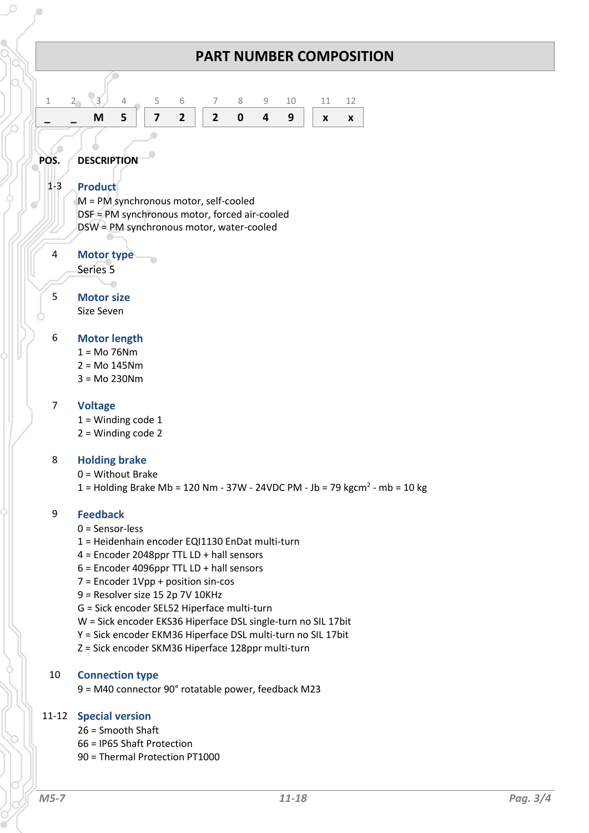